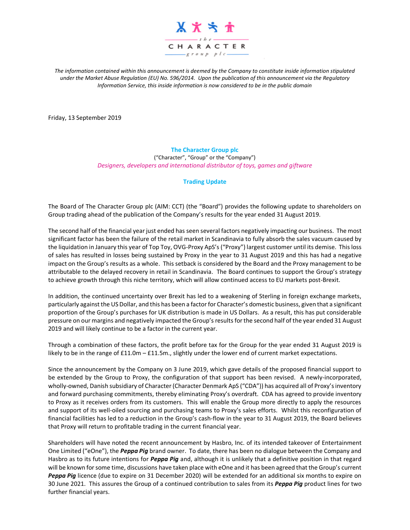

*The information contained within this announcement is deemed by the Company to constitute inside information stipulated under the Market Abuse Regulation (EU) No. 596/2014. Upon the publication of this announcement via the Regulatory Information Service, this inside information is now considered to be in the public domain*

Friday, 13 September 2019

**The Character Group plc** ("Character", "Group" or the "Company") *Designers, developers and international distributor of toys, games and giftware*

## **Trading Update**

The Board of The Character Group plc (AIM: CCT) (the "Board") provides the following update to shareholders on Group trading ahead of the publication of the Company's results for the year ended 31 August 2019.

The second half of the financial year just ended has seen several factors negatively impacting our business. The most significant factor has been the failure of the retail market in Scandinavia to fully absorb the sales vacuum caused by the liquidation in January this year of Top Toy, OVG-Proxy ApS's ("Proxy") largest customer until its demise. This loss of sales has resulted in losses being sustained by Proxy in the year to 31 August 2019 and this has had a negative impact on the Group's results as a whole. This setback is considered by the Board and the Proxy management to be attributable to the delayed recovery in retail in Scandinavia. The Board continues to support the Group's strategy to achieve growth through this niche territory, which will allow continued access to EU markets post-Brexit.

In addition, the continued uncertainty over Brexit has led to a weakening of Sterling in foreign exchange markets, particularly against the US Dollar, and this has been a factor for Character's domestic business, given that a significant proportion of the Group's purchases for UK distribution is made in US Dollars. As a result, this has put considerable pressure on our margins and negatively impacted the Group's results for the second half of the year ended 31 August 2019 and will likely continue to be a factor in the current year.

Through a combination of these factors, the profit before tax for the Group for the year ended 31 August 2019 is likely to be in the range of £11.0m – £11.5m., slightly under the lower end of current market expectations.

Since the announcement by the Company on 3 June 2019, which gave details of the proposed financial support to be extended by the Group to Proxy, the configuration of that support has been revised. A newly-incorporated, wholly-owned, Danish subsidiary of Character (Character Denmark ApS ("CDA")) has acquired all of Proxy's inventory and forward purchasing commitments, thereby eliminating Proxy's overdraft. CDA has agreed to provide inventory to Proxy as it receives orders from its customers. This will enable the Group more directly to apply the resources and support of its well-oiled sourcing and purchasing teams to Proxy's sales efforts. Whilst this reconfiguration of financial facilities has led to a reduction in the Group's cash-flow in the year to 31 August 2019, the Board believes that Proxy will return to profitable trading in the current financial year.

Shareholders will have noted the recent announcement by Hasbro, Inc. of its intended takeover of Entertainment One Limited ("eOne"), the *Peppa Pig* brand owner. To date, there has been no dialogue between the Company and Hasbro as to its future intentions for *Peppa Pig* and, although it is unlikely that a definitive position in that regard will be known for some time, discussions have taken place with eOne and it has been agreed that the Group's current *Peppa Pig* licence (due to expire on 31 December 2020) will be extended for an additional six months to expire on 30 June 2021. This assures the Group of a continued contribution to sales from its *Peppa Pig* product lines for two further financial years.